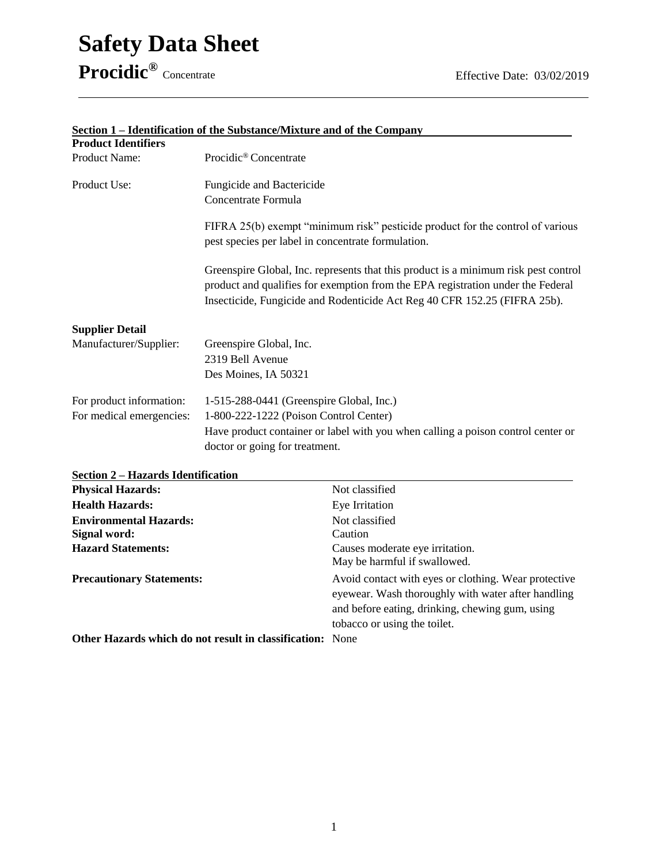## **Safety Data Sheet Procidic®**

| <b>Product Identifiers</b> | rachtmeatholi of the bubblance/Mixture and of the company                                                                                                                                                                                           |
|----------------------------|-----------------------------------------------------------------------------------------------------------------------------------------------------------------------------------------------------------------------------------------------------|
| Product Name:              | Procidic <sup>®</sup> Concentrate                                                                                                                                                                                                                   |
| Product Use:               | Fungicide and Bactericide                                                                                                                                                                                                                           |
|                            | Concentrate Formula                                                                                                                                                                                                                                 |
|                            | FIFRA 25(b) exempt "minimum risk" pesticide product for the control of various<br>pest species per label in concentrate formulation.                                                                                                                |
|                            | Greenspire Global, Inc. represents that this product is a minimum risk pest control<br>product and qualifies for exemption from the EPA registration under the Federal<br>Insecticide, Fungicide and Rodenticide Act Reg 40 CFR 152.25 (FIFRA 25b). |
| <b>Supplier Detail</b>     |                                                                                                                                                                                                                                                     |
| Manufacturer/Supplier:     | Greenspire Global, Inc.                                                                                                                                                                                                                             |
|                            | 2319 Bell Avenue                                                                                                                                                                                                                                    |
|                            | Des Moines, IA 50321                                                                                                                                                                                                                                |
| For product information:   | 1-515-288-0441 (Greenspire Global, Inc.)                                                                                                                                                                                                            |
| For medical emergencies:   | 1-800-222-1222 (Poison Control Center)                                                                                                                                                                                                              |
|                            | Have product container or label with you when calling a poison control center or                                                                                                                                                                    |
|                            | doctor or going for treatment.                                                                                                                                                                                                                      |

## **Section 1 – Identification of the Substance/Mixture and of the Company**

| Section 2 – Hazards Identification                               |                                                                                                                                                               |
|------------------------------------------------------------------|---------------------------------------------------------------------------------------------------------------------------------------------------------------|
| <b>Physical Hazards:</b>                                         | Not classified                                                                                                                                                |
| <b>Health Hazards:</b>                                           | Eye Irritation                                                                                                                                                |
| <b>Environmental Hazards:</b>                                    | Not classified                                                                                                                                                |
| Signal word:                                                     | Caution                                                                                                                                                       |
| <b>Hazard Statements:</b>                                        | Causes moderate eye irritation.<br>May be harmful if swallowed.                                                                                               |
| <b>Precautionary Statements:</b>                                 | Avoid contact with eyes or clothing. Wear protective<br>eyewear. Wash thoroughly with water after handling<br>and before eating, drinking, chewing gum, using |
|                                                                  | tobacco or using the toilet.                                                                                                                                  |
| <b>Other Hazards which do not result in classification:</b> None |                                                                                                                                                               |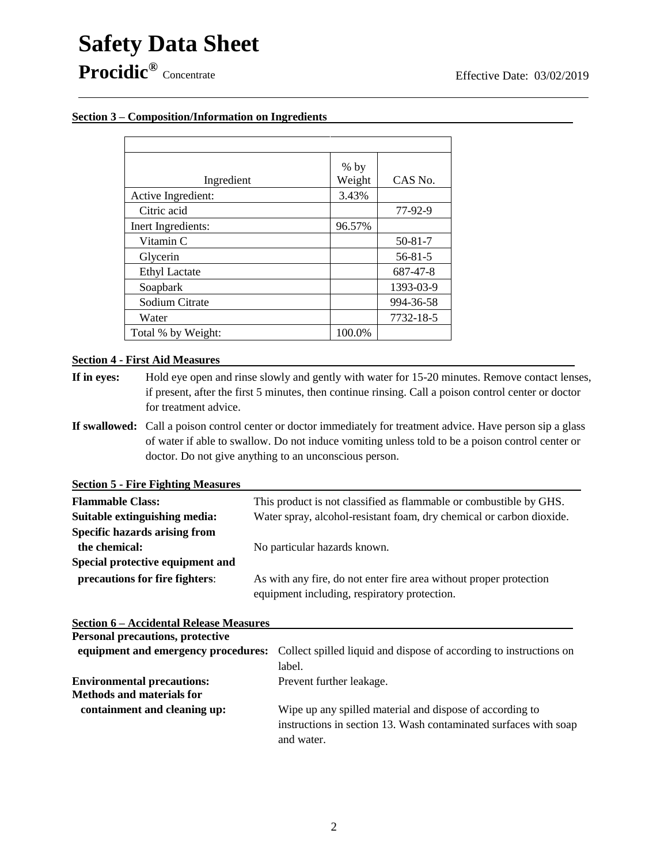### **Section 3 – Composition/Information on Ingredients**

| Ingredient           | $%$ by<br>Weight | CAS No.       |
|----------------------|------------------|---------------|
| Active Ingredient:   | 3.43%            |               |
| Citric acid          |                  | 77-92-9       |
| Inert Ingredients:   | 96.57%           |               |
| Vitamin C            |                  | $50 - 81 - 7$ |
| Glycerin             |                  | $56 - 81 - 5$ |
| <b>Ethyl Lactate</b> |                  | 687-47-8      |
| Soapbark             |                  | 1393-03-9     |
| Sodium Citrate       |                  | 994-36-58     |
| Water                |                  | 7732-18-5     |
| Total % by Weight:   | 100.0%           |               |

#### **Section 4 - First Aid Measures**

- **If in eyes:** Hold eye open and rinse slowly and gently with water for 15-20 minutes. Remove contact lenses, if present, after the first 5 minutes, then continue rinsing. Call a poison control center or doctor for treatment advice.
- **If swallowed:** Call a poison control center or doctor immediately for treatment advice. Have person sip a glass of water if able to swallow. Do not induce vomiting unless told to be a poison control center or doctor. Do not give anything to an unconscious person.

**Section 5 - Fire Fighting Measures** 

| <b>Flammable Class:</b>              | This product is not classified as flammable or combustible by GHS.   |  |
|--------------------------------------|----------------------------------------------------------------------|--|
| Suitable extinguishing media:        | Water spray, alcohol-resistant foam, dry chemical or carbon dioxide. |  |
| <b>Specific hazards arising from</b> |                                                                      |  |
| the chemical:                        | No particular hazards known.                                         |  |
| Special protective equipment and     |                                                                      |  |
| precautions for fire fighters:       | As with any fire, do not enter fire area without proper protection   |  |
|                                      | equipment including, respiratory protection.                         |  |

#### **Section 6 – Accidental Release Measures**

| <b>Personal precautions, protective</b> |                                                                                                        |
|-----------------------------------------|--------------------------------------------------------------------------------------------------------|
|                                         | equipment and emergency procedures: Collect spilled liquid and dispose of according to instructions on |
|                                         | label.                                                                                                 |
| <b>Environmental precautions:</b>       | Prevent further leakage.                                                                               |
| <b>Methods and materials for</b>        |                                                                                                        |
| containment and cleaning up:            | Wipe up any spilled material and dispose of according to                                               |
|                                         | instructions in section 13. Wash contaminated surfaces with soap                                       |
|                                         | and water.                                                                                             |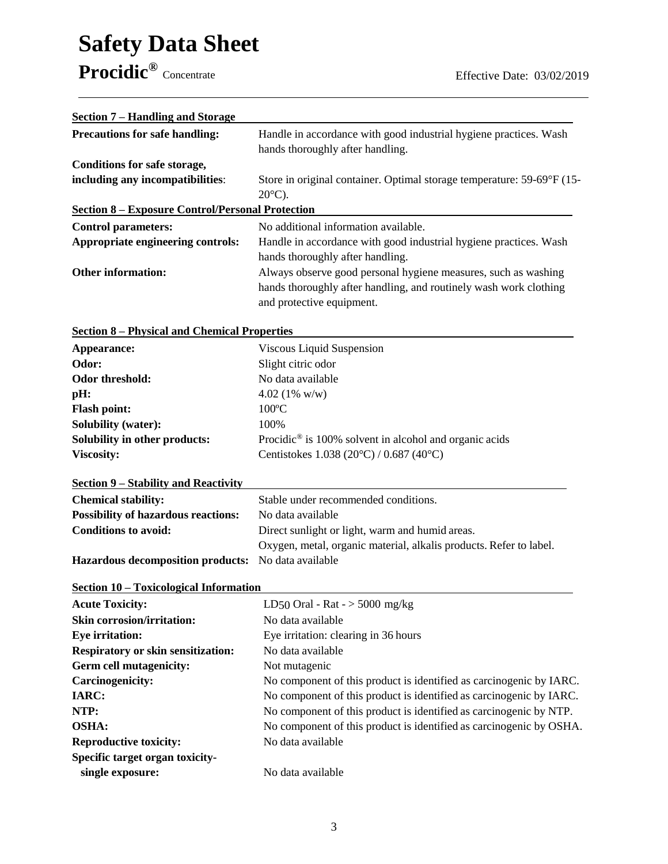# **Safety Data Sheet Procidic®**

| Section 7 – Handling and Storage                        |                                                                                                                                                                  |  |
|---------------------------------------------------------|------------------------------------------------------------------------------------------------------------------------------------------------------------------|--|
| <b>Precautions for safe handling:</b>                   | Handle in accordance with good industrial hygiene practices. Wash<br>hands thoroughly after handling.                                                            |  |
| Conditions for safe storage,                            |                                                                                                                                                                  |  |
| including any incompatibilities:                        | Store in original container. Optimal storage temperature: 59-69°F (15-<br>$20^{\circ}$ C).                                                                       |  |
| <b>Section 8 – Exposure Control/Personal Protection</b> |                                                                                                                                                                  |  |
| <b>Control parameters:</b>                              | No additional information available.                                                                                                                             |  |
| Appropriate engineering controls:                       | Handle in accordance with good industrial hygiene practices. Wash<br>hands thoroughly after handling.                                                            |  |
| <b>Other information:</b>                               | Always observe good personal hygiene measures, such as washing<br>hands thoroughly after handling, and routinely wash work clothing<br>and protective equipment. |  |

| <b>Section 8 – Physical and Chemical Properties</b> |  |  |  |  |  |  |  |
|-----------------------------------------------------|--|--|--|--|--|--|--|
|-----------------------------------------------------|--|--|--|--|--|--|--|

| Appearance:                          | Viscous Liquid Suspension                                          |
|--------------------------------------|--------------------------------------------------------------------|
| Odor:                                | Slight citric odor                                                 |
| Odor threshold:                      | No data available                                                  |
| pH:                                  | 4.02 $(1\% \text{ w/w})$                                           |
| <b>Flash point:</b>                  | $100^{\circ}$ C                                                    |
| <b>Solubility (water):</b>           | 100\%                                                              |
| Solubility in other products:        | Procidic <sup>®</sup> is 100% solvent in alcohol and organic acids |
| <b>Viscosity:</b>                    | Centistokes 1.038 (20 $^{\circ}$ C) / 0.687 (40 $^{\circ}$ C)      |
|                                      |                                                                    |
| Section 9 – Stability and Reactivity |                                                                    |

| <b>Chemical stability:</b>                                 | Stable under recommended conditions.                               |
|------------------------------------------------------------|--------------------------------------------------------------------|
| <b>Possibility of hazardous reactions:</b>                 | No data available                                                  |
| <b>Conditions to avoid:</b>                                | Direct sunlight or light, warm and humid areas.                    |
|                                                            | Oxygen, metal, organic material, alkalis products. Refer to label. |
| <b>Hazardous decomposition products:</b> No data available |                                                                    |

| DUUUUI TU<br>Toxicological mitolihation   |                                                                     |
|-------------------------------------------|---------------------------------------------------------------------|
| <b>Acute Toxicity:</b>                    | LD50 Oral - Rat - $>$ 5000 mg/kg                                    |
| <b>Skin corrosion/irritation:</b>         | No data available                                                   |
| <b>Eye irritation:</b>                    | Eye irritation: clearing in 36 hours                                |
| <b>Respiratory or skin sensitization:</b> | No data available                                                   |
| <b>Germ cell mutagenicity:</b>            | Not mutagenic                                                       |
| <b>Carcinogenicity:</b>                   | No component of this product is identified as carcinogenic by IARC. |
| <b>IARC:</b>                              | No component of this product is identified as carcinogenic by IARC. |
| NTP:                                      | No component of this product is identified as carcinogenic by NTP.  |
| <b>OSHA:</b>                              | No component of this product is identified as carcinogenic by OSHA. |
| <b>Reproductive toxicity:</b>             | No data available                                                   |
| Specific target organ toxicity-           |                                                                     |
| single exposure:                          | No data available                                                   |
|                                           |                                                                     |

## **Section 10 – Toxicological Information**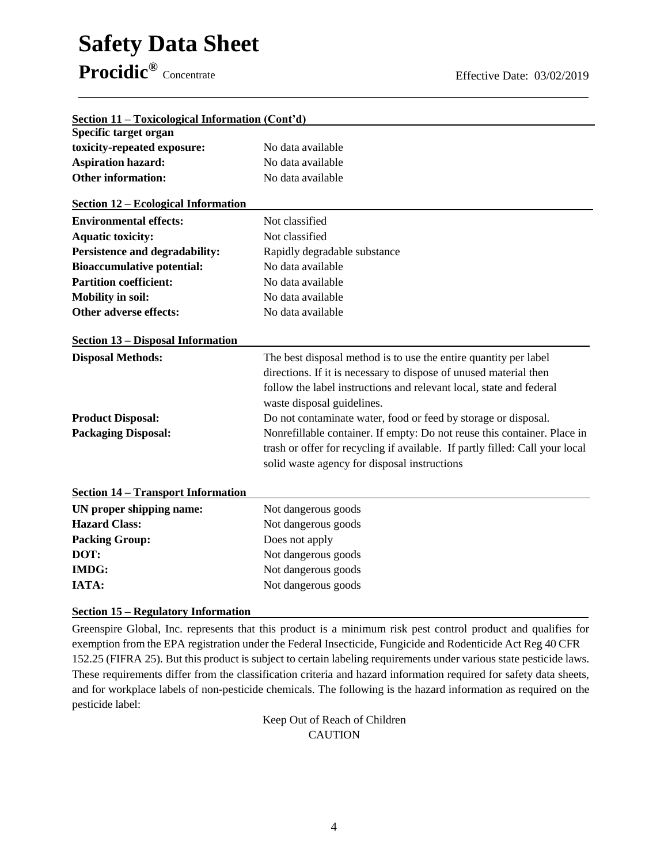## **Safety Data Sheet Procidic®**

| Section 11 – Toxicological Information (Cont'd) |                                                                              |
|-------------------------------------------------|------------------------------------------------------------------------------|
| Specific target organ                           |                                                                              |
| toxicity-repeated exposure:                     | No data available                                                            |
| <b>Aspiration hazard:</b>                       | No data available                                                            |
| <b>Other information:</b>                       | No data available                                                            |
| <b>Section 12 – Ecological Information</b>      |                                                                              |
| <b>Environmental effects:</b>                   | Not classified                                                               |
| <b>Aquatic toxicity:</b>                        | Not classified                                                               |
| Persistence and degradability:                  | Rapidly degradable substance                                                 |
| <b>Bioaccumulative potential:</b>               | No data available                                                            |
| <b>Partition coefficient:</b>                   | No data available                                                            |
| <b>Mobility in soil:</b>                        | No data available                                                            |
| Other adverse effects:                          | No data available                                                            |
| <b>Section 13 – Disposal Information</b>        |                                                                              |
| <b>Disposal Methods:</b>                        | The best disposal method is to use the entire quantity per label             |
|                                                 | directions. If it is necessary to dispose of unused material then            |
|                                                 | follow the label instructions and relevant local, state and federal          |
|                                                 | waste disposal guidelines.                                                   |
| <b>Product Disposal:</b>                        | Do not contaminate water, food or feed by storage or disposal.               |
| <b>Packaging Disposal:</b>                      | Nonrefillable container. If empty: Do not reuse this container. Place in     |
|                                                 | trash or offer for recycling if available. If partly filled: Call your local |
|                                                 | solid waste agency for disposal instructions                                 |
|                                                 |                                                                              |
| <b>Section 14 - Transport Information</b>       |                                                                              |
| UN proper shipping name:                        | Not dangerous goods                                                          |
| <b>Hazard Class:</b>                            | Not dangerous goods                                                          |
| <b>Packing Group:</b>                           | Does not apply                                                               |
| DOT:                                            | Not dangerous goods                                                          |
| <b>IMDG:</b>                                    | Not dangerous goods                                                          |
| IATA:                                           | Not dangerous goods                                                          |
|                                                 |                                                                              |

**Section 15 – Regulatory Information** 

Greenspire Global, Inc. represents that this product is a minimum risk pest control product and qualifies for exemption from the EPA registration under the Federal Insecticide, Fungicide and Rodenticide Act Reg 40 CFR 152.25 (FIFRA 25). But this product is subject to certain labeling requirements under various state pesticide laws. These requirements differ from the classification criteria and hazard information required for safety data sheets, and for workplace labels of non-pesticide chemicals. The following is the hazard information as required on the pesticide label:

> Keep Out of Reach of Children CAUTION